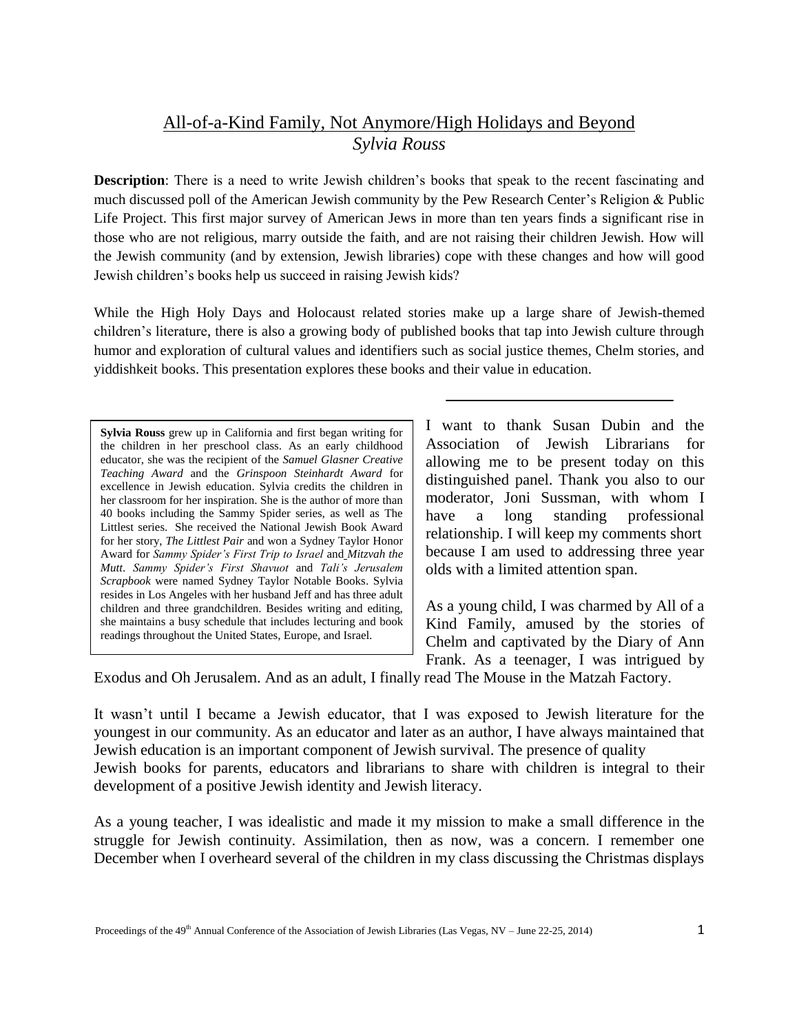## All-of-a-Kind Family, Not Anymore/High Holidays and Beyond *Sylvia Rouss*

**Description**: There is a need to write Jewish children's books that speak to the recent fascinating and much discussed poll of the American Jewish community by the Pew Research Center's Religion & Public Life Project. This first major survey of American Jews in more than ten years finds a significant rise in those who are not religious, marry outside the faith, and are not raising their children Jewish. How will the Jewish community (and by extension, Jewish libraries) cope with these changes and how will good Jewish children's books help us succeed in raising Jewish kids?

While the High Holy Days and Holocaust related stories make up a large share of Jewish-themed children's literature, there is also a growing body of published books that tap into Jewish culture through humor and exploration of cultural values and identifiers such as social justice themes, Chelm stories, and yiddishkeit books. This presentation explores these books and their value in education.

**Sylvia Rouss** grew up in California and first began writing for the children in her preschool class. As an early childhood educator, she was the recipient of the *Samuel Glasner Creative Teaching Award* and the *Grinspoon Steinhardt Award* for excellence in Jewish education. Sylvia credits the children in her classroom for her inspiration. She is the author of more than 40 books including the Sammy Spider series, as well as The Littlest series. She received the National Jewish Book Award for her story, *The Littlest Pair* and won a Sydney Taylor Honor Award for *Sammy Spider's First Trip to Israel* and *Mitzvah the Mutt*. *Sammy Spider's First Shavuot* and *Tali's Jerusalem Scrapbook* were named Sydney Taylor Notable Books. Sylvia resides in Los Angeles with her husband Jeff and has three adult children and three grandchildren. Besides writing and editing, she maintains a busy schedule that includes lecturing and book readings throughout the United States, Europe, and Israel.

I want to thank Susan Dubin and the Association of Jewish Librarians for allowing me to be present today on this distinguished panel. Thank you also to our moderator, Joni Sussman, with whom I have a long standing professional relationship. I will keep my comments short because I am used to addressing three year olds with a limited attention span.

As a young child, I was charmed by All of a Kind Family, amused by the stories of Chelm and captivated by the Diary of Ann Frank. As a teenager, I was intrigued by

Exodus and Oh Jerusalem. And as an adult, I finally read The Mouse in the Matzah Factory.

It wasn't until I became a Jewish educator, that I was exposed to Jewish literature for the youngest in our community. As an educator and later as an author, I have always maintained that Jewish education is an important component of Jewish survival. The presence of quality Jewish books for parents, educators and librarians to share with children is integral to their

development of a positive Jewish identity and Jewish literacy.

As a young teacher, I was idealistic and made it my mission to make a small difference in the struggle for Jewish continuity. Assimilation, then as now, was a concern. I remember one December when I overheard several of the children in my class discussing the Christmas displays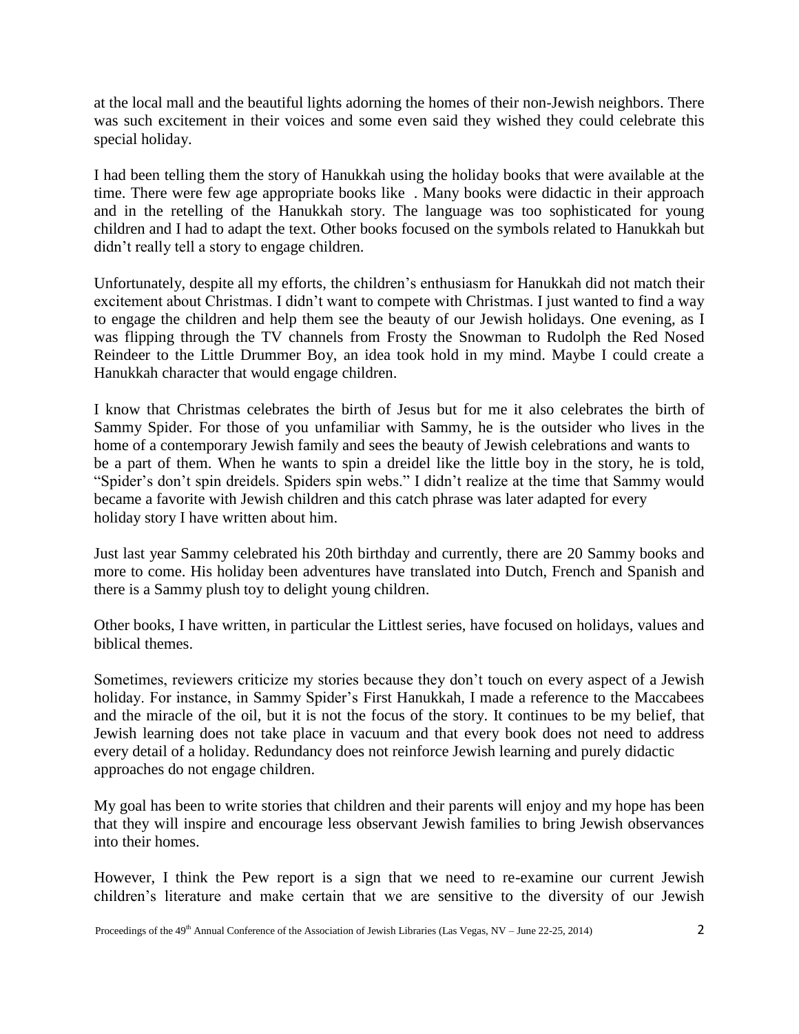at the local mall and the beautiful lights adorning the homes of their non-Jewish neighbors. There was such excitement in their voices and some even said they wished they could celebrate this special holiday.

I had been telling them the story of Hanukkah using the holiday books that were available at the time. There were few age appropriate books like . Many books were didactic in their approach and in the retelling of the Hanukkah story. The language was too sophisticated for young children and I had to adapt the text. Other books focused on the symbols related to Hanukkah but didn't really tell a story to engage children.

Unfortunately, despite all my efforts, the children's enthusiasm for Hanukkah did not match their excitement about Christmas. I didn't want to compete with Christmas. I just wanted to find a way to engage the children and help them see the beauty of our Jewish holidays. One evening, as I was flipping through the TV channels from Frosty the Snowman to Rudolph the Red Nosed Reindeer to the Little Drummer Boy, an idea took hold in my mind. Maybe I could create a Hanukkah character that would engage children.

I know that Christmas celebrates the birth of Jesus but for me it also celebrates the birth of Sammy Spider. For those of you unfamiliar with Sammy, he is the outsider who lives in the home of a contemporary Jewish family and sees the beauty of Jewish celebrations and wants to be a part of them. When he wants to spin a dreidel like the little boy in the story, he is told, "Spider's don't spin dreidels. Spiders spin webs." I didn't realize at the time that Sammy would became a favorite with Jewish children and this catch phrase was later adapted for every holiday story I have written about him.

Just last year Sammy celebrated his 20th birthday and currently, there are 20 Sammy books and more to come. His holiday been adventures have translated into Dutch, French and Spanish and there is a Sammy plush toy to delight young children.

Other books, I have written, in particular the Littlest series, have focused on holidays, values and biblical themes.

Sometimes, reviewers criticize my stories because they don't touch on every aspect of a Jewish holiday. For instance, in Sammy Spider's First Hanukkah, I made a reference to the Maccabees and the miracle of the oil, but it is not the focus of the story. It continues to be my belief, that Jewish learning does not take place in vacuum and that every book does not need to address every detail of a holiday. Redundancy does not reinforce Jewish learning and purely didactic approaches do not engage children.

My goal has been to write stories that children and their parents will enjoy and my hope has been that they will inspire and encourage less observant Jewish families to bring Jewish observances into their homes.

However, I think the Pew report is a sign that we need to re-examine our current Jewish children's literature and make certain that we are sensitive to the diversity of our Jewish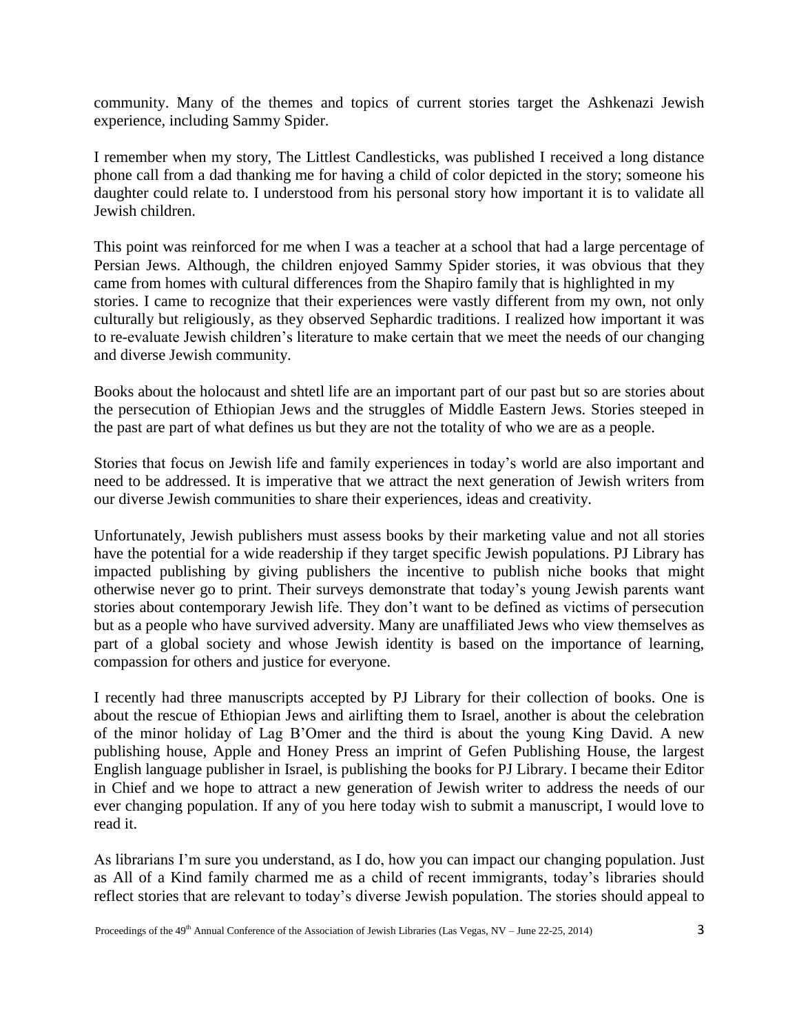community. Many of the themes and topics of current stories target the Ashkenazi Jewish experience, including Sammy Spider.

I remember when my story, The Littlest Candlesticks, was published I received a long distance phone call from a dad thanking me for having a child of color depicted in the story; someone his daughter could relate to. I understood from his personal story how important it is to validate all Jewish children.

This point was reinforced for me when I was a teacher at a school that had a large percentage of Persian Jews. Although, the children enjoyed Sammy Spider stories, it was obvious that they came from homes with cultural differences from the Shapiro family that is highlighted in my stories. I came to recognize that their experiences were vastly different from my own, not only culturally but religiously, as they observed Sephardic traditions. I realized how important it was to re-evaluate Jewish children's literature to make certain that we meet the needs of our changing and diverse Jewish community.

Books about the holocaust and shtetl life are an important part of our past but so are stories about the persecution of Ethiopian Jews and the struggles of Middle Eastern Jews. Stories steeped in the past are part of what defines us but they are not the totality of who we are as a people.

Stories that focus on Jewish life and family experiences in today's world are also important and need to be addressed. It is imperative that we attract the next generation of Jewish writers from our diverse Jewish communities to share their experiences, ideas and creativity.

Unfortunately, Jewish publishers must assess books by their marketing value and not all stories have the potential for a wide readership if they target specific Jewish populations. PJ Library has impacted publishing by giving publishers the incentive to publish niche books that might otherwise never go to print. Their surveys demonstrate that today's young Jewish parents want stories about contemporary Jewish life. They don't want to be defined as victims of persecution but as a people who have survived adversity. Many are unaffiliated Jews who view themselves as part of a global society and whose Jewish identity is based on the importance of learning, compassion for others and justice for everyone.

I recently had three manuscripts accepted by PJ Library for their collection of books. One is about the rescue of Ethiopian Jews and airlifting them to Israel, another is about the celebration of the minor holiday of Lag B'Omer and the third is about the young King David. A new publishing house, Apple and Honey Press an imprint of Gefen Publishing House, the largest English language publisher in Israel, is publishing the books for PJ Library. I became their Editor in Chief and we hope to attract a new generation of Jewish writer to address the needs of our ever changing population. If any of you here today wish to submit a manuscript, I would love to read it.

As librarians I'm sure you understand, as I do, how you can impact our changing population. Just as All of a Kind family charmed me as a child of recent immigrants, today's libraries should reflect stories that are relevant to today's diverse Jewish population. The stories should appeal to